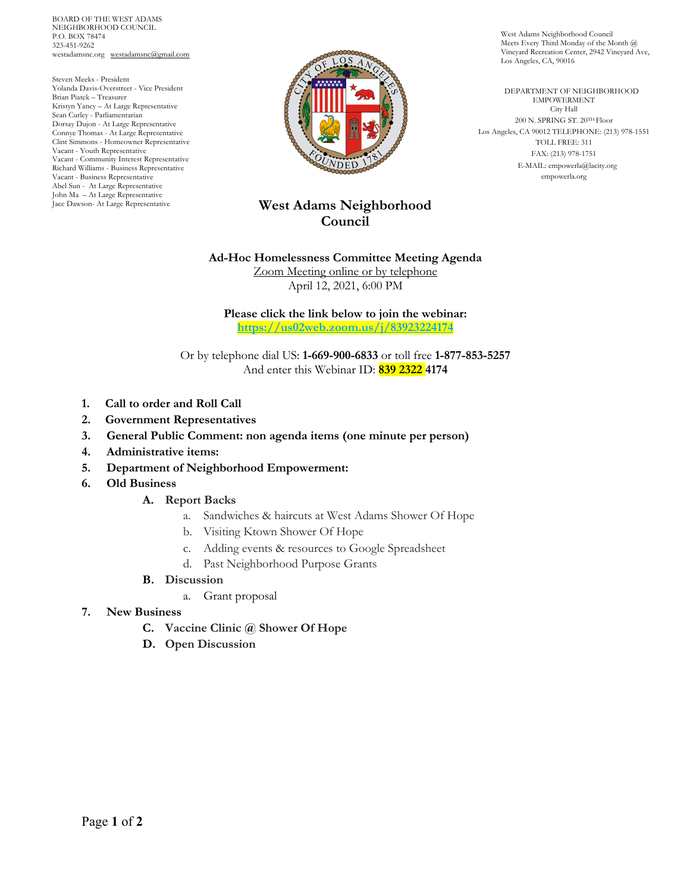BOARD OF THE WEST ADAMS NEIGHBORHOOD COUNCIL P.O. BOX 78474 323-451-9262 westadamsnc.org westadamsnc@gmail.com

Steven Meeks - President Yolanda Davis-Overstreet - Vice President Brian Piatek – Treasurer Kristyn Yancy – At Large Representative Sean Curley - Parliamentarian Dorsay Dujon - At Large Representative Connye Thomas - At Large Representative Clint Simmons - Homeowner Representative Vacant - Youth Representative Vacant - Community Interest Representative Richard Williams - Business Representative Vacant - Business Representative Abel Sun - At Large Representative John Ma – At Large Representative Jace Dawson- At Large Representative



# **West Adams Neighborhood Council**

### **Ad-Hoc Homelessness Committee Meeting Agenda**

Zoom Meeting online or by telephone April 12, 2021, 6:00 PM

**Please click the link below to join the webinar: https://us02web.zoom.us/j/83923224174**

Or by telephone dial US: **1-669-900-6833** or toll free **1-877-853-5257** And enter this Webinar ID: **839 2322 4174**

- **1. Call to order and Roll Call**
- **2. Government Representatives**
- **3. General Public Comment: non agenda items (one minute per person)**
- **4. Administrative items:**
- **5. Department of Neighborhood Empowerment:**
- **6. Old Business**

#### **A. Report Backs**

- a. Sandwiches & haircuts at West Adams Shower Of Hope
- b. Visiting Ktown Shower Of Hope
- c. Adding events & resources to Google Spreadsheet
- d. Past Neighborhood Purpose Grants
- **B. Discussion**
	- a. Grant proposal
- **7. New Business** 
	- **C. Vaccine Clinic @ Shower Of Hope**
	- **D. Open Discussion**

West Adams Neighborhood Council Meets Every Third Monday of the Month @ Vineyard Recreation Center, 2942 Vineyard Ave, Los Angeles, CA, 90016

 DEPARTMENT OF NEIGHBORHOOD EMPOWERMENT City Hall 200 N. SPRING ST. 20TH Floor Los Angeles, CA 90012 TELEPHONE: (213) 978-1551 TOLL FREE: 311 FAX: (213) 978-1751 E-MAIL: empowerla@lacity.org empowerla.org